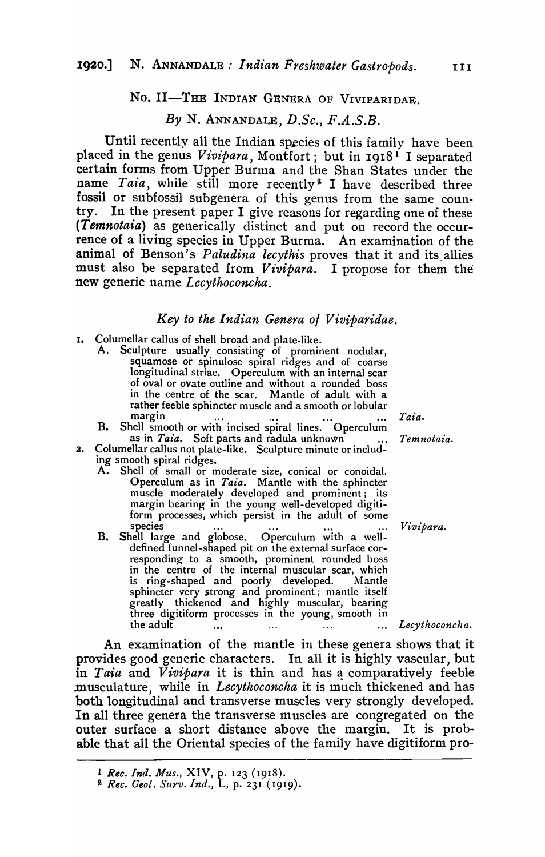## No. II-THE INDIAN GENERA OF VIVIPARIDAE.

## *By* N. ANNANDALE, *D.Se., F.A.S.B.*

Until recently all the Indian species of this family have been placed in the genus *Vivipara*, Montfort; but in 1918<sup>1</sup> I separated certain forms from Upper Burma and the Shan States under the name *Taia*, while still more recently<sup>2</sup> I have described threefossil or subfossil subgenera of this genus from the same country. In the present paper I give reasons for regarding one of these *(Temnotaia)* as generically distinct and put on record the occurrence of a living species in Upper Burma. An examination of the animal of Benson's *Paludina lecythis* proves that it and its allies must also be separated from *Vivipara*. I propose for them the new generic name *Leeythoconeha.* 

#### *Key to the Indian Genera 01 Viviparidae.*

- I. Columellar callus of shell broad and plate-like.
	- A. Sculpture usually consisting of prominent nodular, squamose or spinulose spiral ridges and of coarse longitudinal striae. Operculum with an internal scar of oval or ovate outline and without a rounded boss in the centre of the scar. Mantle of adult with a rather feeble sphincter muscle and a smooth or lobular<br>margin  $\cdots$   $\cdots$ margin ... ... ... ... Taia.
		- B. Shell smooth or with incised spiral lines. Operculum as in *Taia*. Soft parts and radula unknown ... *Temnotaia*.
- 2. Columellar callus not plate-like. Sculpture minute or including smooth spiral ridges.
	- A. Shell of small or moderate size, conical or conoidal. Operculum as in *Taia.* Mantle with the sphincter muscle moderately developed and prominent i its margin bearing in the young well-developed digitiform processes, which persist in the adult of some species ... **1986** ... **1986** ... **1986** ... *Vivipara.*
	- B. Shell large and globose. Operculum with a welldefined funnel-shaped pit on the external surface corresponding to a smooth, prominent rounded boss in the centre of the internal muscular scar, which is ring-shaped and poorly developed. Mantle sphincter very strong and prominent; mantle itself greatly thickened and highly muscular, bearing three digitiform processes in the young, smooth in the adult *Leeythoeoneha.*

An examination of the mantle in these genera shows that it provides good generic characters. In all it is highly vascular, but in *Taia* and *Vivipara* it is thin and has a comparatively feeble musculature, while in *Lecythoconcha* it is much thickened and has both longitudinal and transverse muscles very strongly developed. In all three genera the transverse muscles are congregated on the outer surface a short distance above the margin. It is probable that all the Oriental species of the family have digitiform pro-

<sup>L</sup>*Rec. Ind. Mus.,* XIV, p. 123 (1918).

*<sup>2.</sup> Ree. Geol.* SUyv. *Ind.,* L, p. 231 (1919).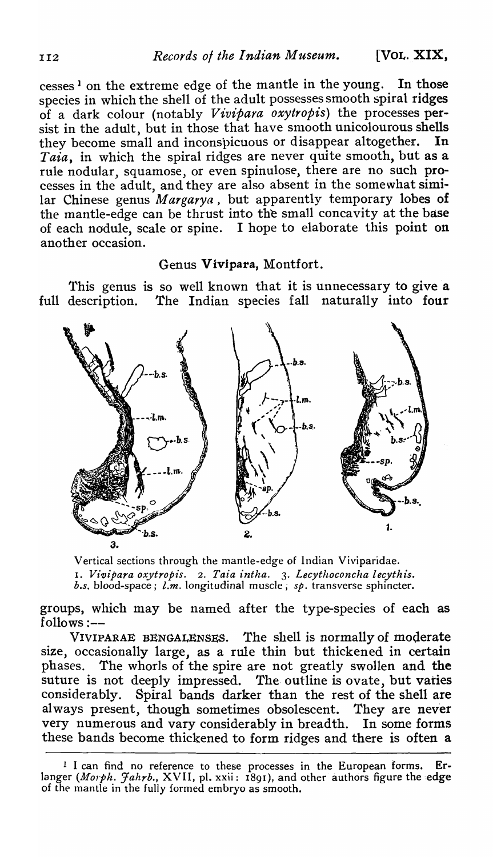cesses) on the extreme edge of the mantle in the young. In those species in which the shell of the adult possesses smooth spiral ridges of a dark colour (notably *Vivipara oxytropis)* the processes persist in the adult, but in those that have smooth unicolourous shells<br>they become small and inconspicuous or disappear altogether. In they become small and inconspicuous or disappear altogether. *Taia,* in which the spiral ridges are never quite smooth, but as a rule nodular, squamose, or even spinulose, there are no such processes in the adult, and they are also absent in the somewhat similar Chinese genus *Margarya*, but apparently temporary lobes of the mantle-edge can be thrust into the small concavity at the base of each nodule, scale or spine. I hope to elaborate this point on another occasion.

# Genus Vivipara, Montfort.

This genus is so well known that it is unnecessary to give a full description. The Indian species fall naturally into four



Vertical sections through the mantle-edge of Indian Viviparidae. 1. *V£vipara oxytropis.* 2. *Taia intha.* 3. *Lecythoconcha lecythis. b.s.* blood-space j *l.m.* longitudinal muscle; *sp.* transverse sphincter.

groups, which may be named after the type-species of each as  $follows: --$ 

VIVIPARAE BENGALENSES. The shell is normally of moderate size, occasionally large, as a rule thin but thickened in certain phases. The whorls of the spire are not greatly swollen and the suture is not deeply impressed. The outline is ovate, but varies considerably. Spiral bands darker than the rest of the shell are Spiral bands darker than the rest of the shell are always present, though sometimes obsolescent. They are never very numerous and vary considerably in breadth. In some forms these bands become thickened to form ridges and there is often a

<sup>&</sup>lt;sup>1</sup> I can find no reference to these processes in the European forms. Erlanger *(Morph. Jahrb., XVII, pl. xxii: 1891), and other authors figure the edge* of the mantle in the fully formed embryo as smooth.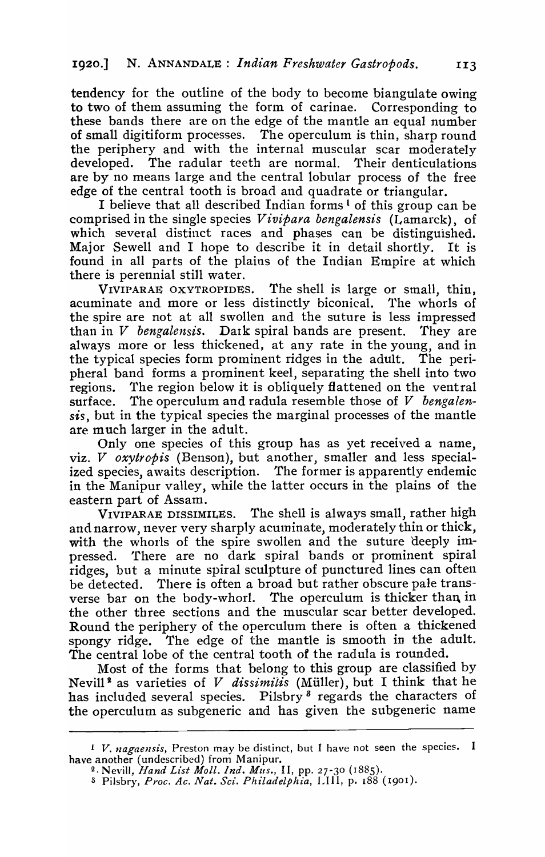tendency for the outline of the body to become biangulate owing to two of them assuming the form of carinae. Corresponding to these bands there are on the edge of the mantle an equal number of small digitiform processes. The operculum is thin, sharp round the periphery and with the internal muscular scar moderately developed. The radular teeth are normal. Their denticulations are by no means large and the central lobular process of the free edge of the central tooth is broad and quadrate or triangular.

I believe that all described Indian forms<sup>1</sup> of this group can be comprised in the single species *Vivipara bengalensis* (Lamarck), of which several distinct races and phases can be distinguished. Major Sewell and I hope to describe it in detail shortly. It is found in all parts of the plains of the Indian Empire at which there is perennial still water.

VIVIPARAE OXYTROPIDES. The shell is large or small, thin, acuminate and more or less distinctly biconical. The whorls of the spire are not at all swollen and the suture is less impressed than in  $V$  bengalensis. Dark spiral bands are present. They are than in  $V$  bengalensis. Datk spiral hands are present. always more or less thickened, at any rate in the young, and in the typical species form prominent ridges in the adult. The perithe typical species form prominent ridges in the adult. pheral band forms a prominent keel, separating the shell into two regions. The region below it is obliquely flattened on the ventral surface. The operculum and radula resemble those of V *bengalensis,* but in the typical species the marginal processes of the mantle are much larger in the adult.

Only one species of this group has as yet received a name, viz. *V oxytropis* (Benson), but another, smaller and less specialized species, awaits description. The former is apparently endemic in the Manipur valley, while the latter occurs in the plains of the eastern part of Assam.

VIVIPARAE DISSIMILES. The shell is always small, rather high and narrow, never very sharply acuminate, moderately thin or thick, with the whorls of the spire swollen and the suture deeply impressed. 'fhere are no dark spiral bands or prominent spiral ridges, but a minute spiral sculpture of punctured lines can often be detected. There is often a broad but rather obscure pale transverse bar on the body-whorl. The operculum is thicker than in the other three sections and the muscular scar better developed. Round the periphery of the operculum there is often a thickened spongy ridge. The edge of the mantle is smooth in the adult. The central lobe of the central tooth of the radula is rounded.

Most of the forms that belong to this group are classified by Nevill<sup>2</sup> as varieties of *V dissimilis* (Müller), but I think that he has included several species. Pilsbry<sup>3</sup> regards the characters of the operculum as subgeneric and has given the subgeneric name

 $1$  V. *nagaensis*, Preston may be distinct, but I have not seen the species. I have another (undescribed) from Manipur.

<sup>2,</sup> Nevill, *Hand List Moll. indo Mus.,* II, pp. 27-30 (1885).

<sup>3</sup>Pilsbry, *Proc. Ac. Nat. Sci. Philadelphia,* LIII, p. 188 (190r ).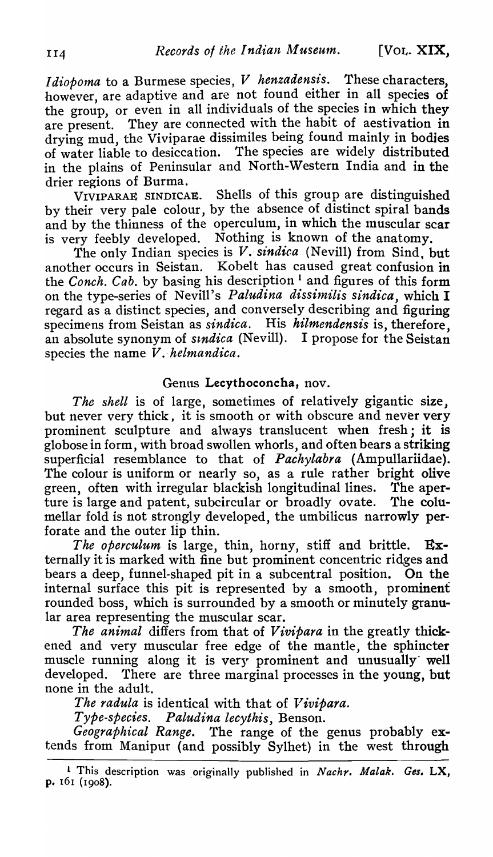*I dioboma* to a Burmese species, *V* henzadensis. These characters, however, are adaptive and are not found either in all species of the group, or even in all individuals of the species in which they are present. They are connected with the habit of aestivation in drying mud, the Viviparae dissimiles being found mainly in bodies of water liable to desiccation. The species are widely distributed in the plains of Peninsular and North-Western India and in the

drier regions of Burma.<br>VIVIPARAE SINDICAE. Shells of this group are distinguished. by their very pale colour, by the absence of distinct spiral bands and by the thinness of the operculum, in which the muscular scar is very feebly developed. Nothing is known of the anatomy.

The only Indian species is *V. sindica* (Nevill) from Sind, but another occurs in Seistan. Kobelt has caused great confusion in the *Conch. Cab.* by basing his description<sup>1</sup> and figures of this form on the type-series of Nevill's *Paludina dissimilis sindica*, which I regard as a distinct species, and conversely describing and figuring specimens from Seistan as *sindica.* His *hilmendensis* is, therefore, an absolute synonym of *stndica* (Nevill). I propose for the Seistan species the name *V*. helmandica.

## Genus Lecythoconcha, nov.

The shell is of large, sometimes of relatively gigantic size. but never very thick, it is smooth or with obscure and never very prominent sculpture and always translucent when fresh; it is globose in form, with broad swollen whorls, and often bears a striking superficial resemblance to that of *Pachylabra* (Ampullariidae). The colour is uniform or nearly so, as a rule rather bright olive green, often with irregular blackish longitudinal lines. The aperture is large and patent, subcircular or broadly ovate. The columellar fold is not strongly developed, the umbilicus narrowly perforate and the outer lip thin.

*The operculum* is large, thin, horny, stiff and brittle. Externally it is marked with fine but prominent concentric ridges and bears a deep, funnel-shaped pit in a subcentral position. On the internal surface this pit is represented by a smooth, prominent rounded boss, which is surrounded by a smooth or minutely granular area representing the muscular scar.

*The animal* differs from that of *Vivipara* in the greatly thickened and very muscular free edge of the mantle, the sphincter muscle running along it is very prominent and unusually· well developed. There are three marginal processes in the young, but none in the adult.

The radula is identical with that of *Vivipara*.

*Type-species. Paludina lecythis,* Benson.

*Geographical Range.* The range of the genus probably extends from Manipur (and possibly Sylhet) in the west through

<sup>&</sup>lt;sup>1</sup> This description was originally published in *Nachr. Malak. Ges.* LX, p. 161 (1908).